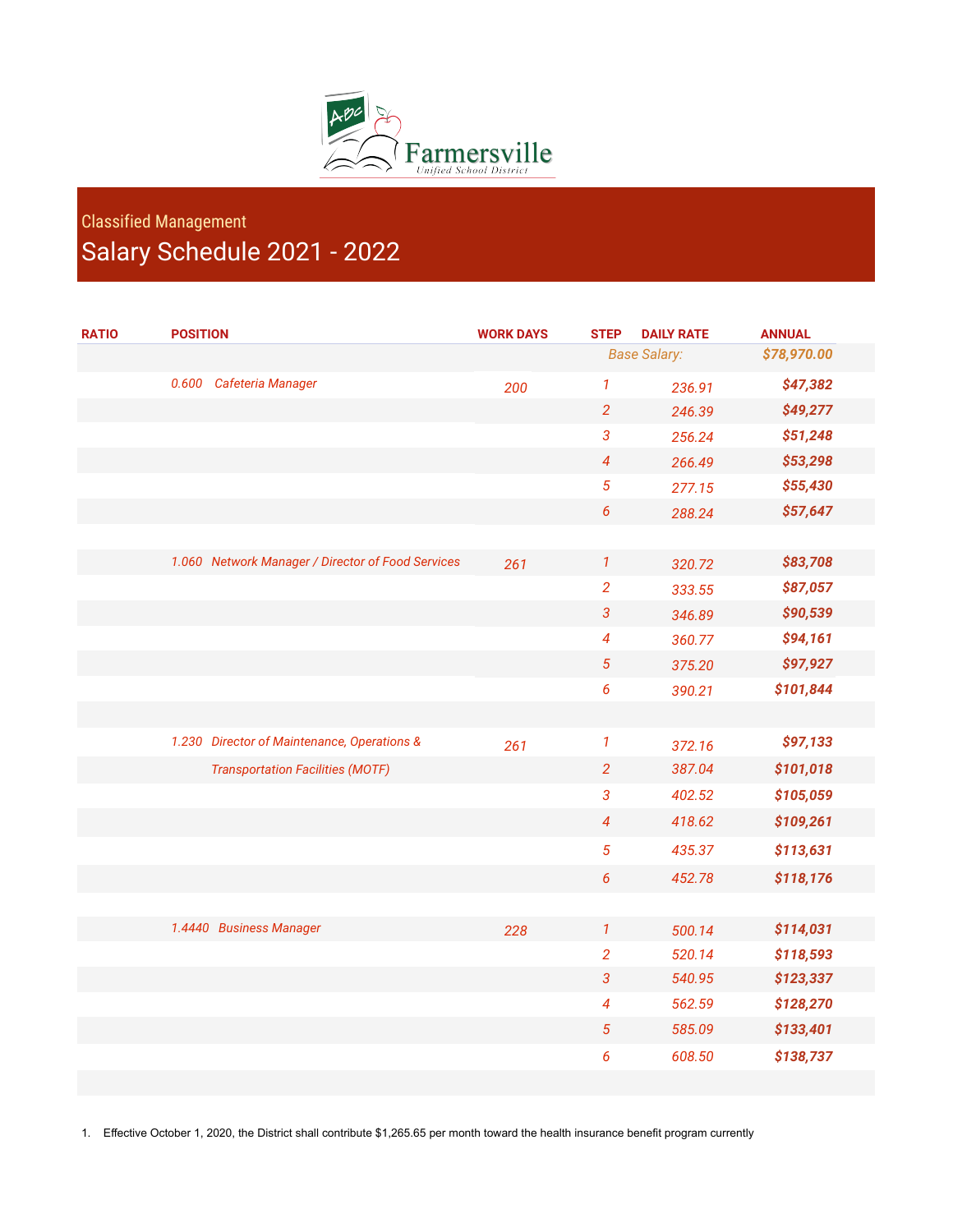

## Classified Management Salary Schedule 2021 - 2022

| <b>RATIO</b> | <b>POSITION</b>                                   | <b>WORK DAYS</b> | <b>STEP</b>                | <b>DAILY RATE</b> | <b>ANNUAL</b> |
|--------------|---------------------------------------------------|------------------|----------------------------|-------------------|---------------|
|              |                                                   |                  | <b>Base Salary:</b>        |                   | \$78,970.00   |
|              | 0.600<br>Cafeteria Manager                        | 200              | $\boldsymbol{\mathcal{I}}$ | 236.91            | \$47,382      |
|              |                                                   |                  | $\overline{2}$             | 246.39            | \$49,277      |
|              |                                                   |                  | 3                          | 256.24            | \$51,248      |
|              |                                                   |                  | 4                          | 266.49            | \$53,298      |
|              |                                                   |                  | 5                          | 277.15            | \$55,430      |
|              |                                                   |                  | 6                          | 288.24            | \$57,647      |
|              |                                                   |                  |                            |                   |               |
|              | 1.060 Network Manager / Director of Food Services | 261              | $\mathbf{1}$               | 320.72            | \$83,708      |
|              |                                                   |                  | $\overline{2}$             | 333.55            | \$87,057      |
|              |                                                   |                  | 3                          | 346.89            | \$90,539      |
|              |                                                   |                  | 4                          | 360.77            | \$94,161      |
|              |                                                   |                  | 5                          | 375.20            | \$97,927      |
|              |                                                   |                  | 6                          | 390.21            | \$101,844     |
|              |                                                   |                  |                            |                   |               |
|              | 1.230 Director of Maintenance, Operations &       | 261              | $\mathbf{1}$               | 372.16            | \$97,133      |
|              | <b>Transportation Facilities (MOTF)</b>           |                  | $\overline{2}$             | 387.04            | \$101,018     |
|              |                                                   |                  | $\mathfrak{3}$             | 402.52            | \$105,059     |
|              |                                                   |                  | $\overline{\mathcal{A}}$   | 418.62            | \$109,261     |
|              |                                                   |                  | 5                          | 435.37            | \$113,631     |
|              |                                                   |                  | $\boldsymbol{6}$           | 452.78            | \$118,176     |
|              |                                                   |                  |                            |                   |               |
|              | 1.4440 Business Manager                           | 228              | $\mathbf{1}$               | 500.14            | \$114,031     |
|              |                                                   |                  | $\overline{2}$             | 520.14            | \$118,593     |
|              |                                                   |                  | 3                          | 540.95            | \$123,337     |
|              |                                                   |                  | $\overline{\mathcal{A}}$   | 562.59            | \$128,270     |
|              |                                                   |                  | $\sqrt{5}$                 | 585.09            | \$133,401     |
|              |                                                   |                  | 6                          | 608.50            | \$138,737     |
|              |                                                   |                  |                            |                   |               |

1. Effective October 1, 2020, the District shall contribute \$1,265.65 per month toward the health insurance benefit program currently